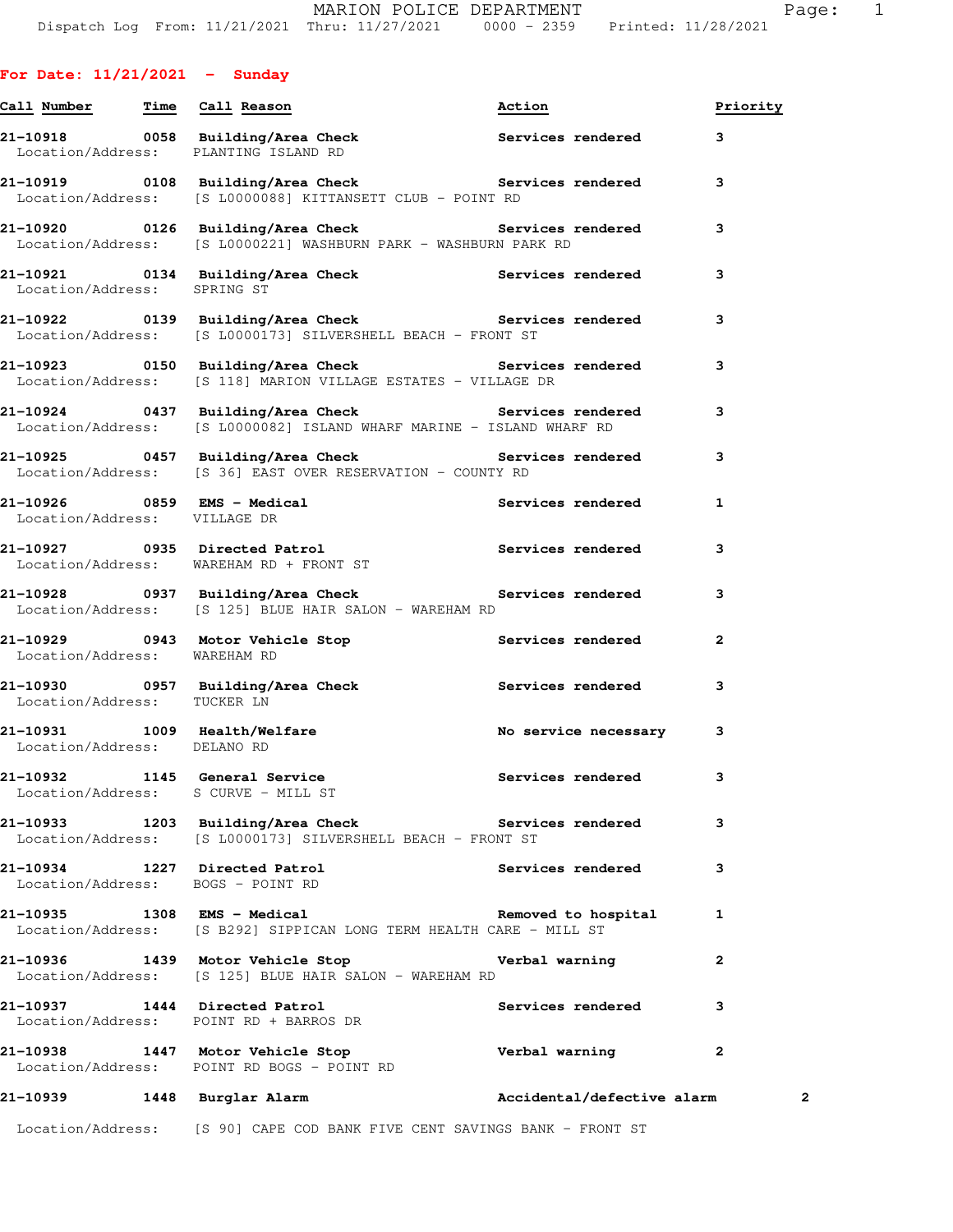|  | For Date: 11/21/2021 |  | Sunday |
|--|----------------------|--|--------|
|--|----------------------|--|--------|

|                              | Call Number Time Call Reason                                                                                                 | Action                     | Priority       |
|------------------------------|------------------------------------------------------------------------------------------------------------------------------|----------------------------|----------------|
|                              | 21-10918 0058 Building/Area Check Services rendered<br>Location/Address: PLANTING ISLAND RD                                  |                            | 3              |
|                              | 21-10919 		 0108 Building/Area Check 		 Services rendered<br>Location/Address: [S L0000088] KITTANSETT CLUB - POINT RD       |                            | 3              |
|                              | Location/Address: [S L0000221] WASHBURN PARK - WASHBURN PARK RD                                                              |                            | 3              |
| Location/Address: SPRING ST  | 21-10921 0134 Building/Area Check Services rendered                                                                          |                            | 3              |
|                              | 21-10922 0139 Building/Area Check Services rendered<br>Location/Address: [S L0000173] SILVERSHELL BEACH - FRONT ST           |                            | 3              |
|                              | 21-10923 0150 Building/Area Check Services rendered<br>Location/Address: [S 118] MARION VILLAGE ESTATES - VILLAGE DR         |                            | 3              |
|                              | 21-10924 0437 Building/Area Check Services rendered<br>Location/Address: [S L0000082] ISLAND WHARF MARINE - ISLAND WHARF RD  |                            | 3              |
|                              | 21-10925 0457 Building/Area Check Services rendered<br>Location/Address: [S 36] EAST OVER RESERVATION - COUNTY RD            |                            | 3              |
| Location/Address: VILLAGE DR | 21-10926 0859 EMS - Medical                                                                                                  | Services rendered          | $\mathbf{1}$   |
|                              | 21-10927 0935 Directed Patrol<br>Location/Address: WAREHAM RD + FRONT ST                                                     | Services rendered          | 3              |
|                              | 21-10928      0937  Building/Area Check          Services rendered<br>Location/Address: [S 125] BLUE HAIR SALON - WAREHAM RD |                            | 3              |
| Location/Address: WAREHAM RD | 21-10929 0943 Motor Vehicle Stop Services rendered                                                                           |                            | $\mathbf{2}$   |
| Location/Address: TUCKER LN  |                                                                                                                              |                            | 3              |
| Location/Address: DELANO RD  | 21-10931 1009 Health/Welfare                                                                                                 | No service necessary       | 3              |
|                              | 21-10932 1145 General Service Services Services rendered<br>Location/Address: S CURVE - MILL ST                              |                            | 3              |
|                              | 21-10933 1203 Building/Area Check Services rendered<br>Location/Address: [S L0000173] SILVERSHELL BEACH - FRONT ST           |                            | 3              |
|                              | 21-10934 1227 Directed Patrol<br>Location/Address: BOGS - POINT RD                                                           | Services rendered          | 3              |
|                              | 21-10935 1308 EMS - Medical<br>Location/Address: [S B292] SIPPICAN LONG TERM HEALTH CARE - MILL ST                           | Removed to hospital        | $\mathbf{1}$   |
|                              | 21-10936 1439 Motor Vehicle Stop Nerbal warning<br>Location/Address: [S 125] BLUE HAIR SALON - WAREHAM RD                    |                            | $\mathbf{2}$   |
|                              | 21-10937 1444 Directed Patrol<br>Location/Address: POINT RD + BARROS DR                                                      | Services rendered          | 3              |
|                              | 21-10938 1447 Motor Vehicle Stop<br>Location/Address: POINT RD BOGS - POINT RD                                               | Verbal warning             | $\overline{2}$ |
| 21-10939                     | 1448 Burglar Alarm                                                                                                           | Accidental/defective alarm | 2              |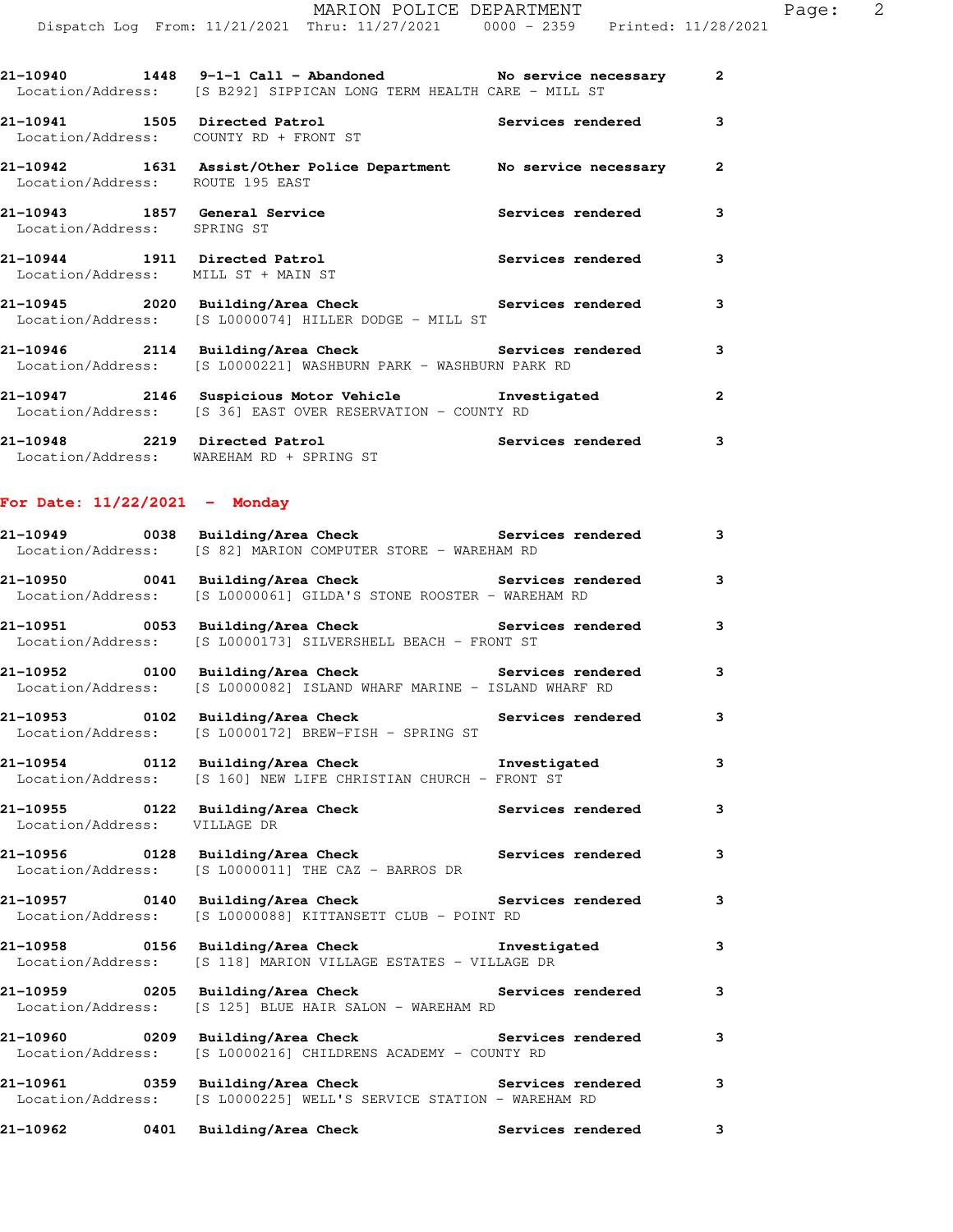|                                                              | 21-10940 1448 9-1-1 Call - Abandoned No service necessary 2<br>Location/Address: [S B292] SIPPICAN LONG TERM HEALTH CARE - MILL ST |                          |                |
|--------------------------------------------------------------|------------------------------------------------------------------------------------------------------------------------------------|--------------------------|----------------|
|                                                              | 21-10941 1505 Directed Patrol<br>Location/Address: COUNTY RD + FRONT ST                                                            | <b>Services rendered</b> | 3              |
| Location/Address: ROUTE 195 EAST                             | 21-10942 1631 Assist/Other Police Department No service necessary                                                                  |                          | $\overline{2}$ |
| 21-10943 1857 General Service<br>Location/Address: SPRING ST |                                                                                                                                    | <b>Services rendered</b> | 3              |
| 21-10944 1911 Directed Patrol                                | Location/Address: MILL ST + MAIN ST                                                                                                | <b>Services rendered</b> | 3              |
|                                                              | 21-10945 2020 Building/Area Check<br>Location/Address: [S L0000074] HILLER DODGE - MILL ST                                         | Services rendered        | 3              |
|                                                              | 21-10946 2114 Building/Area Check Services rendered<br>Location/Address: [S L0000221] WASHBURN PARK - WASHBURN PARK RD             |                          | 3              |
|                                                              | 21-10947 2146 Suspicious Motor Vehicle Threstigated<br>  Location/Address: [S 36] EAST OVER RESERVATION - COUNTY RD                |                          | $\overline{2}$ |

**21-10948 2219 Directed Patrol Services rendered 3**  Location/Address: WAREHAM RD + SPRING ST

## **For Date: 11/22/2021 - Monday**

|                              | 21-10949      0038  Building/Area Check          Services rendered<br>Location/Address: [S 82] MARION COMPUTER STORE - WAREHAM RD        | $\mathbf{3}$ |
|------------------------------|------------------------------------------------------------------------------------------------------------------------------------------|--------------|
|                              | 21-10950 0041 Building/Area Check 5ervices rendered<br>Location/Address: [S L0000061] GILDA'S STONE ROOSTER - WAREHAM RD                 | $\mathbf{3}$ |
|                              | 21-10951 0053 Building/Area Check Services rendered<br>Location/Address: [S L0000173] SILVERSHELL BEACH - FRONT ST                       | 3            |
|                              | 21-10952 		 0100 Building/Area Check 		 Services rendered<br>Location/Address: [S L0000082] ISLAND WHARF MARINE - ISLAND WHARF RD        | 3            |
|                              | 21-10953      0102  Building/Area Check          Services rendered<br>Location/Address: [S L0000172] BREW-FISH - SPRING ST               | $\mathbf{3}$ |
|                              | 21-10954      0112  Building/Area Check          Investigated<br>Location/Address: [S 160] NEW LIFE CHRISTIAN CHURCH - FRONT ST          | 3            |
| Location/Address: VILLAGE DR | 21-10955 0122 Building/Area Check Services rendered                                                                                      | 3            |
|                              | 21-10956      0128  Building/Area Check          Services rendered<br>Location/Address: [S L0000011] THE CAZ - BARROS DR                 | 3            |
|                              | 21-10957      0140  Building/Area Check          Services rendered<br>Location/Address: [S L0000088] KITTANSETT CLUB - POINT RD          | 3            |
|                              | 21-10958      0156  Building/Area Check          Investigated<br>Location/Address: [S 118] MARION VILLAGE ESTATES - VILLAGE DR           | $\mathbf{3}$ |
|                              | 21-10959 0205 Building/Area Check Services rendered<br>Location/Address: [S 125] BLUE HAIR SALON - WAREHAM RD                            | 3            |
|                              | 21-10960 0209 Building/Area Check Services rendered<br>Location/Address: [S L0000216] CHILDRENS ACADEMY - COUNTY RD                      | 3            |
|                              | 21-10961      0359  Building/Area Check          Services rendered<br>Location/Address: [S L0000225] WELL'S SERVICE STATION - WAREHAM RD | 3            |
|                              | 21-10962 0401 Building/Area Check Services rendered                                                                                      | 3            |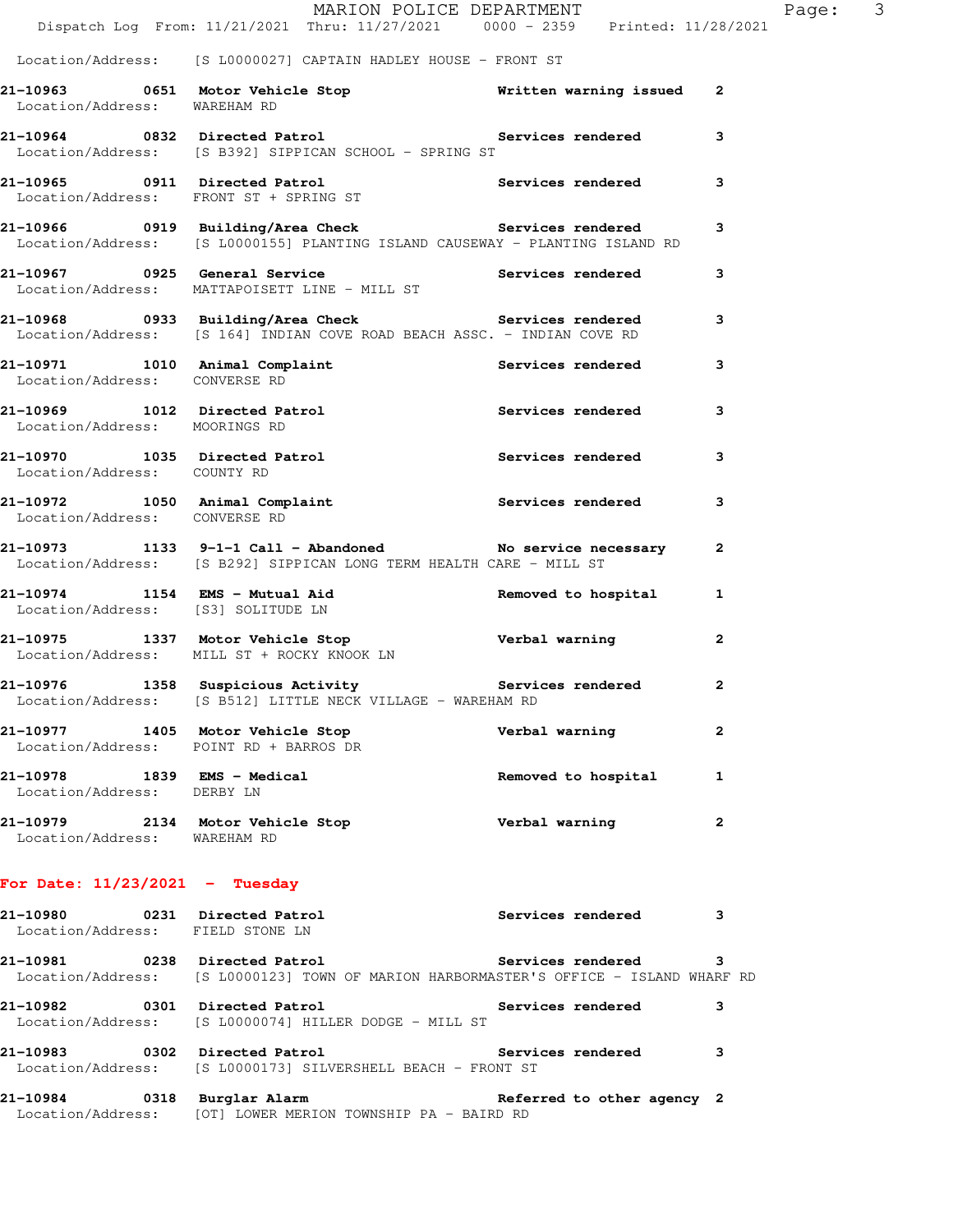|                                                           | MARION POLICE DEPARTMENT<br>Dispatch Log From: 11/21/2021 Thru: 11/27/2021 0000 - 2359 Printed: 11/28/2021                          |                          |                |
|-----------------------------------------------------------|-------------------------------------------------------------------------------------------------------------------------------------|--------------------------|----------------|
|                                                           | Location/Address: [S L0000027] CAPTAIN HADLEY HOUSE - FRONT ST                                                                      |                          |                |
|                                                           | 21-10963 0651 Motor Vehicle Stop Mritten warning issued<br>Location/Address: WAREHAM RD                                             |                          | $\mathbf{2}$   |
|                                                           | 21-10964 0832 Directed Patrol <b>120 Contract Services</b> rendered<br>Location/Address: [S B392] SIPPICAN SCHOOL - SPRING ST       |                          | 3              |
|                                                           | 21-10965 0911 Directed Patrol Services rendered<br>Location/Address: FRONT ST + SPRING ST                                           |                          | 3              |
|                                                           | 21-10966 0919 Building/Area Check Services rendered<br>Location/Address: [S L0000155] PLANTING ISLAND CAUSEWAY - PLANTING ISLAND RD |                          | 3              |
|                                                           | 21-10967 0925 General Service 3 Services rendered<br>Location/Address: MATTAPOISETT LINE - MILL ST                                  |                          | 3              |
|                                                           | 21-10968 0933 Building/Area Check Services rendered<br>Location/Address: [S 164] INDIAN COVE ROAD BEACH ASSC. - INDIAN COVE RD      |                          | 3              |
|                                                           | 21-10971 1010 Animal Complaint 100 Services rendered<br>Location/Address: CONVERSE RD                                               |                          | 3              |
| Location/Address: MOORINGS RD                             | 21-10969 1012 Directed Patrol                                                                                                       | <b>Services rendered</b> | 3              |
| Location/Address: COUNTY RD                               | 21-10970 1035 Directed Patrol                                                                                                       | Services rendered        | 3              |
|                                                           | 21-10972 1050 Animal Complaint Services rendered<br>Location/Address: CONVERSE RD                                                   |                          | 3              |
|                                                           | 21-10973 1133 9-1-1 Call - Abandoned No service necessary<br>Location/Address: [S B292] SIPPICAN LONG TERM HEALTH CARE - MILL ST    |                          | $\mathbf{2}$   |
|                                                           | 21-10974 1154 EMS - Mutual Aid Removed to hospital<br>Location/Address: [S3] SOLITUDE LN                                            |                          | $\mathbf{1}$   |
|                                                           | 21-10975 1337 Motor Vehicle Stop<br>Location/Address: MILL ST + ROCKY KNOOK LN                                                      | Verbal warning           | $\mathbf{2}$   |
|                                                           | 21-10976 1358 Suspicious Activity <b>Services rendered</b><br>Location/Address: [S B512] LITTLE NECK VILLAGE - WAREHAM RD           |                          | $\overline{2}$ |
|                                                           | 21-10977 1405 Motor Vehicle Stop<br>Location/Address: POINT RD + BARROS DR                                                          | Verbal warning           | 2              |
| 21-10978 1839 EMS - Medical<br>Location/Address: DERBY LN |                                                                                                                                     | Removed to hospital      | 1              |
| Location/Address: WAREHAM RD                              | 21-10979 2134 Motor Vehicle Stop                                                                                                    | Verbal warning           | $\mathbf{2}$   |
| For Date: $11/23/2021$ - Tuesday                          |                                                                                                                                     |                          |                |
| Location/Address: FIELD STONE LN                          | 21-10980 0231 Directed Patrol                                                                                                       | <b>Services rendered</b> | 3              |
|                                                           | 21-10981 0238 Directed Patrol<br>Location/Address: [S L0000123] TOWN OF MARION HARBORMASTER'S OFFICE - ISLAND WHARF RD              | Services rendered        | 3.             |
| 21-10982                                                  | 0301 Directed Patrol<br>Location/Address: [S L0000074] HILLER DODGE - MILL ST                                                       | <b>Services rendered</b> | 3              |
|                                                           | 21-10983 0302 Directed Patrol                                                                                                       | <b>Services rendered</b> | 3              |

**21-10984 0318 Burglar Alarm Referred to other agency 2**  Location/Address: [OT] LOWER MERION TOWNSHIP PA - BAIRD RD

Location/Address: [S L0000173] SILVERSHELL BEACH - FRONT ST

Page: 3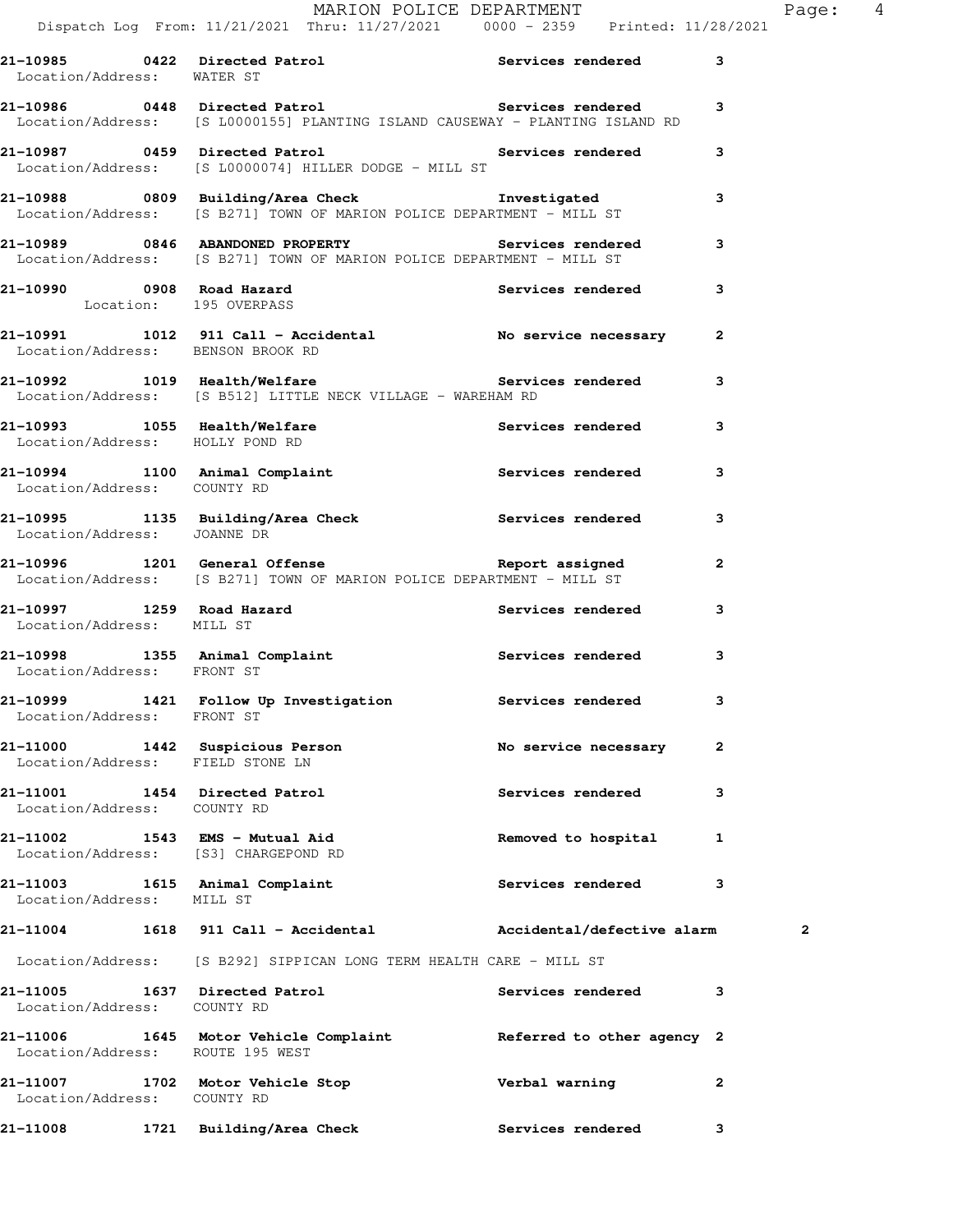**21-10985 0422 Directed Patrol Services rendered 3** 

| Location/Address: WATER ST                                   |                                                                                                                                                |                          |              |
|--------------------------------------------------------------|------------------------------------------------------------------------------------------------------------------------------------------------|--------------------------|--------------|
|                                                              | 21-10986 0448 Directed Patrol <b>120 CEA</b> Services rendered<br>Location/Address: [S L0000155] PLANTING ISLAND CAUSEWAY - PLANTING ISLAND RD |                          | 3            |
|                                                              | 21-10987 0459 Directed Patrol 21-10987 Services rendered<br>Location/Address: [S L0000074] HILLER DODGE - MILL ST                              |                          | 3            |
|                                                              | 21-10988 0809 Building/Area Check <b>The Investigated</b><br>Location/Address: [S B271] TOWN OF MARION POLICE DEPARTMENT - MILL ST             |                          | 3            |
|                                                              | 21-10989 0846 ABANDONED PROPERTY Services rendered<br>Location/Address: [S B271] TOWN OF MARION POLICE DEPARTMENT - MILL ST                    |                          | 3            |
|                                                              | 21-10990 0908 Road Hazard Services rendered 3<br>Location: 195 OVERPASS                                                                        |                          |              |
| Location/Address: BENSON BROOK RD                            | 21-10991 1012 911 Call - Accidental No service necessary 2                                                                                     |                          |              |
|                                                              | 21-10992 1019 Health/Welfare <b>1986 1012 Services</b> rendered<br>Location/Address: [S B512] LITTLE NECK VILLAGE - WAREHAM RD                 |                          | 3            |
| Location/Address: HOLLY POND RD                              | 21-10993 1055 Health/Welfare the Services rendered                                                                                             |                          | 3            |
| Location/Address: COUNTY RD                                  | 21-10994 1100 Animal Complaint (1999) Services rendered                                                                                        |                          | 3            |
|                                                              | 21-10995 1135 Building/Area Check Services rendered<br>Location/Address: JOANNE DR                                                             |                          | 3            |
|                                                              | Location/Address: [S B271] TOWN OF MARION POLICE DEPARTMENT - MILL ST                                                                          |                          | $\mathbf{2}$ |
| Location/Address: MILL ST                                    | 21-10997 1259 Road Hazard Services rendered                                                                                                    |                          | 3            |
| Location/Address: FRONT ST                                   | 21-10998 1355 Animal Complaint 1999 Services rendered                                                                                          |                          | 3            |
| Location/Address: FRONT ST                                   | 21-10999 1421 Follow Up Investigation Services rendered 3                                                                                      |                          |              |
| Location/Address: FIELD STONE LN                             | 21-11000 1442 Suspicious Person No service necessary 2                                                                                         |                          |              |
| 21-11001 1454 Directed Patrol<br>Location/Address: COUNTY RD |                                                                                                                                                | <b>Services rendered</b> | 3            |
| Location/Address: [S3] CHARGEPOND RD                         | 21-11002 1543 EMS - Mutual Aid                                                                                                                 | Removed to hospital      | 1            |
| Location/Address: MILL ST                                    | 21-11003 1615 Animal Complaint                                                                                                                 | Services rendered        | 3            |
|                                                              | 21-11004 1618 911 Call - Accidental Maccidental/defective alarm                                                                                |                          | 2            |
|                                                              | Location/Address: [S B292] SIPPICAN LONG TERM HEALTH CARE - MILL ST                                                                            |                          |              |
| 21-11005 1637 Directed Patrol<br>Location/Address: COUNTY RD |                                                                                                                                                | Services rendered        | 3            |
| Location/Address: ROUTE 195 WEST                             | 21-11006 1645 Motor Vehicle Complaint Referred to other agency 2                                                                               |                          |              |
| Location/Address: COUNTY RD                                  | 21-11007 1702 Motor Vehicle Stop                                                                                                               | Verbal warning           | $\mathbf{2}$ |
|                                                              | 21-11008 1721 Building/Area Check                                                                                                              | <b>Services rendered</b> | 3            |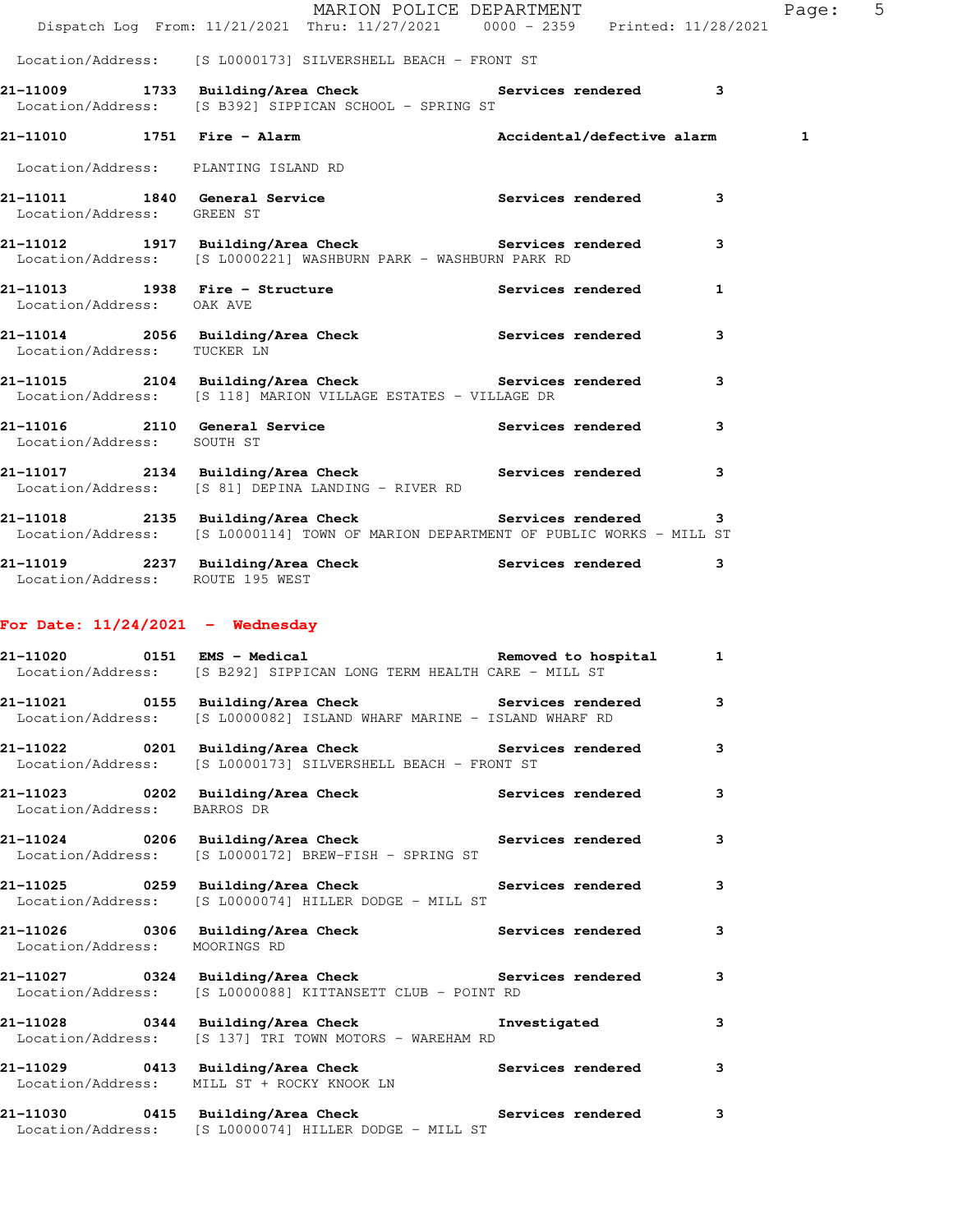|                                      | MARION POLICE DEPARTMENT<br>Dispatch Log From: 11/21/2021 Thru: 11/27/2021 0000 - 2359 Printed: 11/28/2021                                 |                   | Pa           |
|--------------------------------------|--------------------------------------------------------------------------------------------------------------------------------------------|-------------------|--------------|
|                                      | Location/Address: [S L0000173] SILVERSHELL BEACH - FRONT ST                                                                                |                   |              |
|                                      | 21-11009 1733 Building/Area Check Services rendered 3<br>Location/Address: [S B392] SIPPICAN SCHOOL - SPRING ST                            |                   |              |
|                                      | 21-11010 1751 Fire - Alarm Mccidental/defective alarm                                                                                      |                   | 1            |
| Location/Address: PLANTING ISLAND RD |                                                                                                                                            |                   |              |
| Location/Address: GREEN ST           | 21-11011 1840 General Service 21 Services rendered                                                                                         |                   | 3            |
|                                      | 21-11012 1917 Building/Area Check Services rendered<br>Location/Address: [S L0000221] WASHBURN PARK - WASHBURN PARK RD                     |                   | 3            |
| Location/Address: OAK AVE            | 21-11013 1938 Fire - Structure                                                                                                             | Services rendered | $\mathbf{1}$ |
| Location/Address: TUCKER LN          | 21-11014 2056 Building/Area Check Services rendered                                                                                        |                   | 3            |
|                                      | 21-11015 2104 Building/Area Check Services rendered<br>Location/Address: [S 118] MARION VILLAGE ESTATES - VILLAGE DR                       |                   | 3            |
| Location/Address: SOUTH ST           | 21-11016 2110 General Service <b>1988</b> Services rendered                                                                                |                   | 3            |
|                                      | 21-11017 2134 Building/Area Check Services rendered<br>Location/Address: [S 81] DEPINA LANDING - RIVER RD                                  |                   | 3            |
|                                      | 21-11018 2135 Building/Area Check Services rendered<br>Location/Address: [S L0000114] TOWN OF MARION DEPARTMENT OF PUBLIC WORKS - MILL ST  |                   | 3            |
| Location/Address: ROUTE 195 WEST     | 21-11019 2237 Building/Area Check Services rendered                                                                                        |                   | $\mathbf{3}$ |
| For Date: $11/24/2021$ - Wednesday   |                                                                                                                                            |                   |              |
|                                      | Location/Address: [S B292] SIPPICAN LONG TERM HEALTH CARE - MILL ST                                                                        |                   |              |
|                                      | 21-11021      0155  Building/Area Check          Services rendered<br>Location/Address: [S L0000082] ISLAND WHARF MARINE - ISLAND WHARF RD |                   | 3            |
|                                      | 21-11022 0201 Building/Area Check Services rendered<br>Location/Address: [S L0000173] SILVERSHELL BEACH - FRONT ST                         |                   | 3            |
| Location/Address: BARROS DR          | 21-11023 0202 Building/Area Check Services rendered                                                                                        |                   | 3            |
|                                      | 21-11024 0206 Building/Area Check Services rendered<br>Location/Address: [S L0000172] BREW-FISH - SPRING ST                                |                   | 3            |
| 21-11025 0259 Building/Area Check    | Location/Address: [S L0000074] HILLER DODGE - MILL ST                                                                                      | Services rendered | 3            |
| Location/Address: MOORINGS RD        | 21-11026 		 0306 Building/Area Check 		 Services rendered                                                                                  |                   | 3            |
|                                      | 21-11027 0324 Building/Area Check Services rendered<br>Location/Address: [S L0000088] KITTANSETT CLUB - POINT RD                           |                   | 3            |
|                                      | 21-11028 0344 Building/Area Check http://www.filesophe.com/<br>Location/Address: [S 137] TRI TOWN MOTORS - WAREHAM RD                      |                   | 3            |
|                                      | 21-11029 0413 Building/Area Check Services rendered<br>Location/Address: MILL ST + ROCKY KNOOK LN                                          |                   | 3            |
|                                      | 21-11030      0415  Building/Area Check          Services rendered<br>Location/Address: [S L0000074] HILLER DODGE - MILL ST                |                   | 3            |

age: 5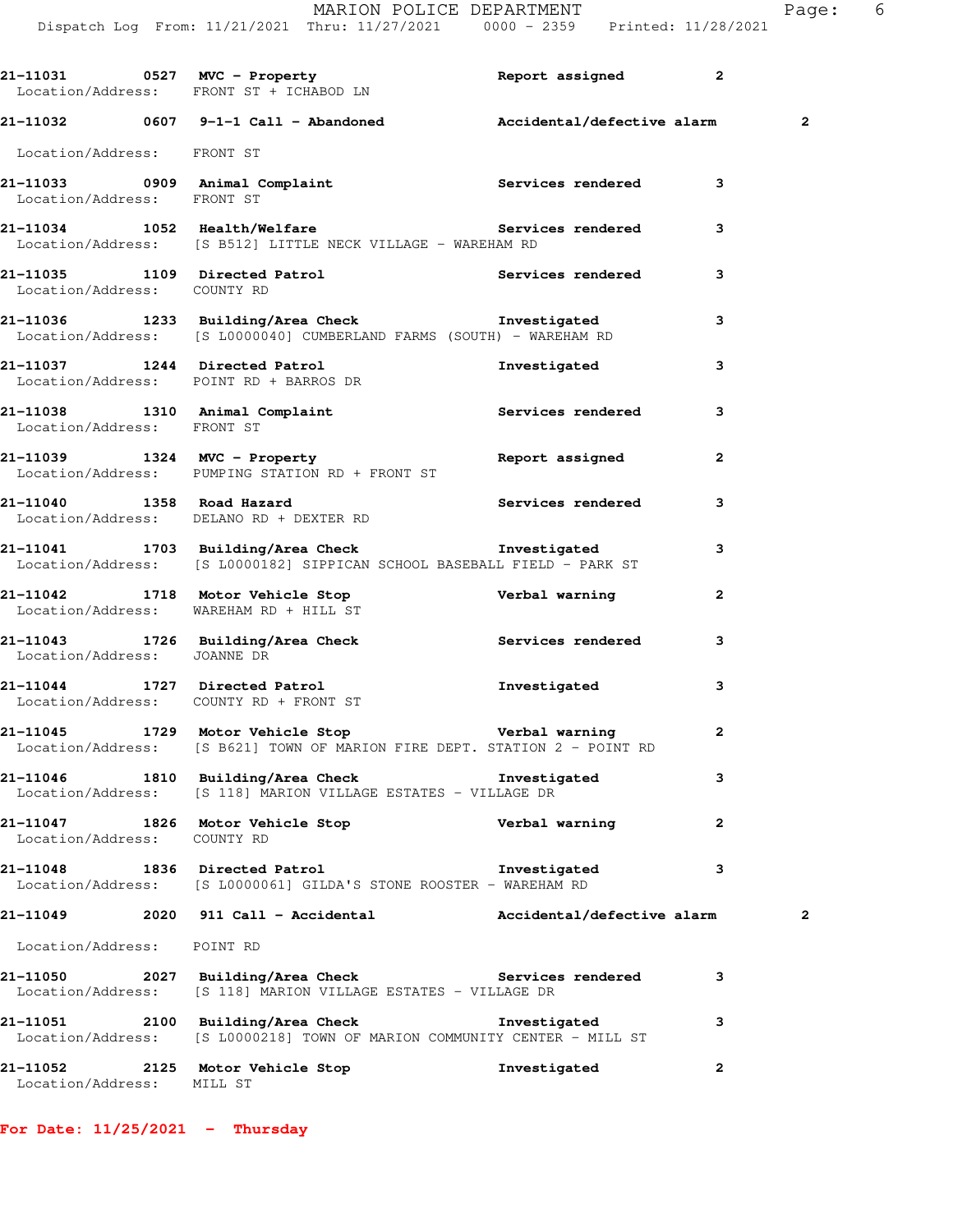**21-11031 0527 MVC - Property Report assigned 2**  Location/Address: FRONT ST + ICHABOD LN **21-11032 0607 9-1-1 Call - Abandoned Accidental/defective alarm 2** Location/Address: FRONT ST **21-11033 0909 Animal Complaint Services rendered 3**  Location/Address: FRONT ST **21-11034 1052 Health/Welfare Services rendered 3**  Location/Address: [S B512] LITTLE NECK VILLAGE - WAREHAM RD **21-11035 1109 Directed Patrol Services rendered 3**  Location/Address: COUNTY RD **21-11036 1233 Building/Area Check Investigated 3**  Location/Address: [S L0000040] CUMBERLAND FARMS (SOUTH) - WAREHAM RD **21-11037 1244 Directed Patrol Investigated 3**  Location/Address: POINT RD + BARROS DR **21-11038 1310 Animal Complaint Services rendered 3**  Location/Address: FRONT ST **21-11039 1324 MVC - Property Report assigned 2**  Location/Address: PUMPING STATION RD + FRONT ST **21-11040 1358 Road Hazard Services rendered 3**  Location/Address: DELANO RD + DEXTER RD **21-11041 1703 Building/Area Check Investigated 3**  Location/Address: [S L0000182] SIPPICAN SCHOOL BASEBALL FIELD - PARK ST **21-11042 1718 Motor Vehicle Stop Verbal warning 2**  Location/Address: WAREHAM RD + HILL ST **21-11043 1726 Building/Area Check Services rendered 3**  Location/Address: JOANNE DR **21-11044 1727 Directed Patrol Investigated 3**  Location/Address: COUNTY RD + FRONT ST **21-11045 1729 Motor Vehicle Stop Verbal warning 2**  Location/Address: [S B621] TOWN OF MARION FIRE DEPT. STATION 2 - POINT RD **21-11046 1810 Building/Area Check Investigated 3**  Location/Address: [S 118] MARION VILLAGE ESTATES - VILLAGE DR **21-11047 1826 Motor Vehicle Stop Verbal warning 2**  Location/Address: COUNTY RD **21-11048 1836 Directed Patrol Investigated 3**  Location/Address: [S L0000061] GILDA'S STONE ROOSTER - WAREHAM RD **21-11049 2020 911 Call - Accidental Accidental/defective alarm 2** Location/Address: POINT RD **21-11050 2027 Building/Area Check Services rendered 3**  Location/Address: [S 118] MARION VILLAGE ESTATES - VILLAGE DR **21-11051 2100 Building/Area Check Investigated 3**  Location/Address: [S L0000218] TOWN OF MARION COMMUNITY CENTER - MILL ST **21-11052 2125 Motor Vehicle Stop Investigated 2** 

Location/Address: MILL ST

**For Date: 11/25/2021 - Thursday**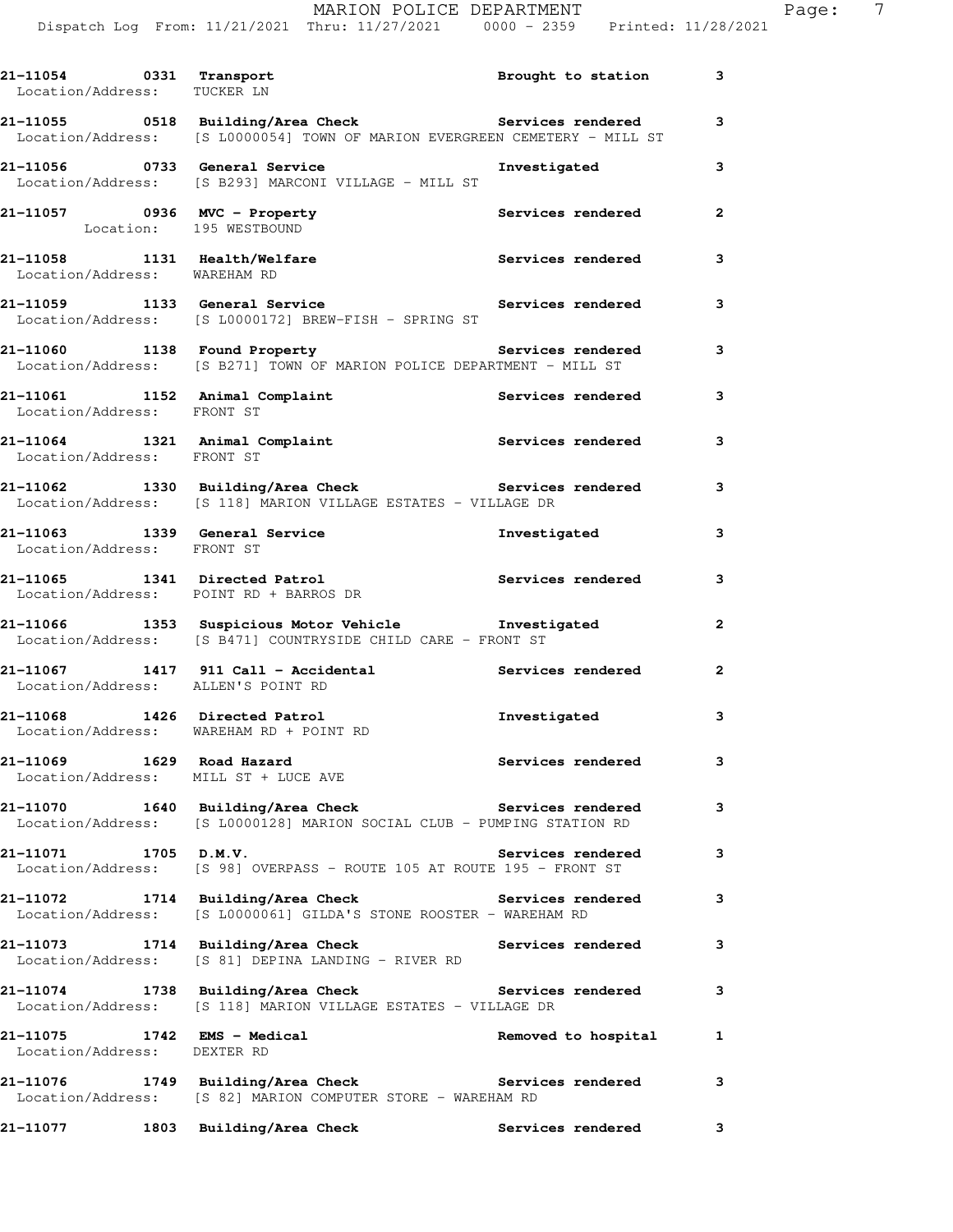| 21-11054 0331 Transport<br>Location/Address: TUCKER LN       |                                                                                                                                   | Brought to station       | 3            |
|--------------------------------------------------------------|-----------------------------------------------------------------------------------------------------------------------------------|--------------------------|--------------|
|                                                              | 21-11055 0518 Building/Area Check Services rendered<br>Location/Address: [S L0000054] TOWN OF MARION EVERGREEN CEMETERY - MILL ST |                          | 3            |
|                                                              | 21-11056 0733 General Service<br>Location/Address: [S B293] MARCONI VILLAGE - MILL ST                                             | Investigated             | 3            |
| 21-11057 0936 MVC - Property<br>Location: 195 WESTBOUND      |                                                                                                                                   | <b>Services rendered</b> | 2            |
| Location/Address: WAREHAM RD                                 | 21-11058 1131 Health/Welfare                                                                                                      | Services rendered        | 3            |
|                                                              | Location/Address: [S L0000172] BREW-FISH - SPRING ST                                                                              |                          | 3            |
|                                                              | 21-11060 1138 Found Property Services rendered<br>Location/Address: [S B271] TOWN OF MARION POLICE DEPARTMENT - MILL ST           |                          | 3            |
| 21-11061 1152 Animal Complaint<br>Location/Address: FRONT ST |                                                                                                                                   | <b>Services rendered</b> | 3            |
| Location/Address: FRONT ST                                   | 21-11064 1321 Animal Complaint                                                                                                    | Services rendered        | 3            |
|                                                              | 21-11062 1330 Building/Area Check Services rendered<br>Location/Address: [S 118] MARION VILLAGE ESTATES - VILLAGE DR              |                          | 3            |
| Location/Address: FRONT ST                                   | 21-11063 1339 General Service                                                                                                     | Investigated             | 3            |
|                                                              | 21-11065 1341 Directed Patrol Nervices rendered<br>Location/Address: POINT RD + BARROS DR                                         |                          | 3            |
|                                                              | 21-11066 1353 Suspicious Motor Vehicle threstigated<br>Location/Address: [S B471] COUNTRYSIDE CHILD CARE - FRONT ST               |                          | $\mathbf{2}$ |
| Location/Address: ALLEN'S POINT RD                           | 21-11067 1417 911 Call - Accidental Services rendered                                                                             |                          | $\mathbf{2}$ |
|                                                              | 21-11068 1426 Directed Patrol<br>Location/Address: WAREHAM RD + POINT RD                                                          | Investigated             | 3            |
| 1629 Road Hazard<br>21-11069                                 | Location/Address: MILL ST + LUCE AVE                                                                                              | Services rendered        | 3            |
|                                                              | 21-11070 1640 Building/Area Check Services rendered<br>Location/Address: [S L0000128] MARION SOCIAL CLUB - PUMPING STATION RD     |                          | 3            |
| 21-11071 1705 D.M.V.                                         | Location/Address: [S 98] OVERPASS - ROUTE 105 AT ROUTE 195 - FRONT ST                                                             | <b>Services rendered</b> | 3            |
|                                                              | 21-11072 1714 Building/Area Check Services rendered<br>Location/Address: [S L0000061] GILDA'S STONE ROOSTER - WAREHAM RD          |                          | 3            |
|                                                              | 21-11073 1714 Building/Area Check Services rendered<br>Location/Address: [S 81] DEPINA LANDING - RIVER RD                         |                          | 3            |
|                                                              | 21-11074 1738 Building/Area Check Services rendered<br>Location/Address: [S 118] MARION VILLAGE ESTATES - VILLAGE DR              |                          | 3            |
| 21-11075 1742 EMS - Medical<br>Location/Address: DEXTER RD   |                                                                                                                                   | Removed to hospital      | 1            |
|                                                              | 21-11076 1749 Building/Area Check Services rendered<br>Location/Address: [S 82] MARION COMPUTER STORE - WAREHAM RD                |                          | 3            |
| 21-11077                                                     | 1803 Building/Area Check                                                                                                          | Services rendered        | 3            |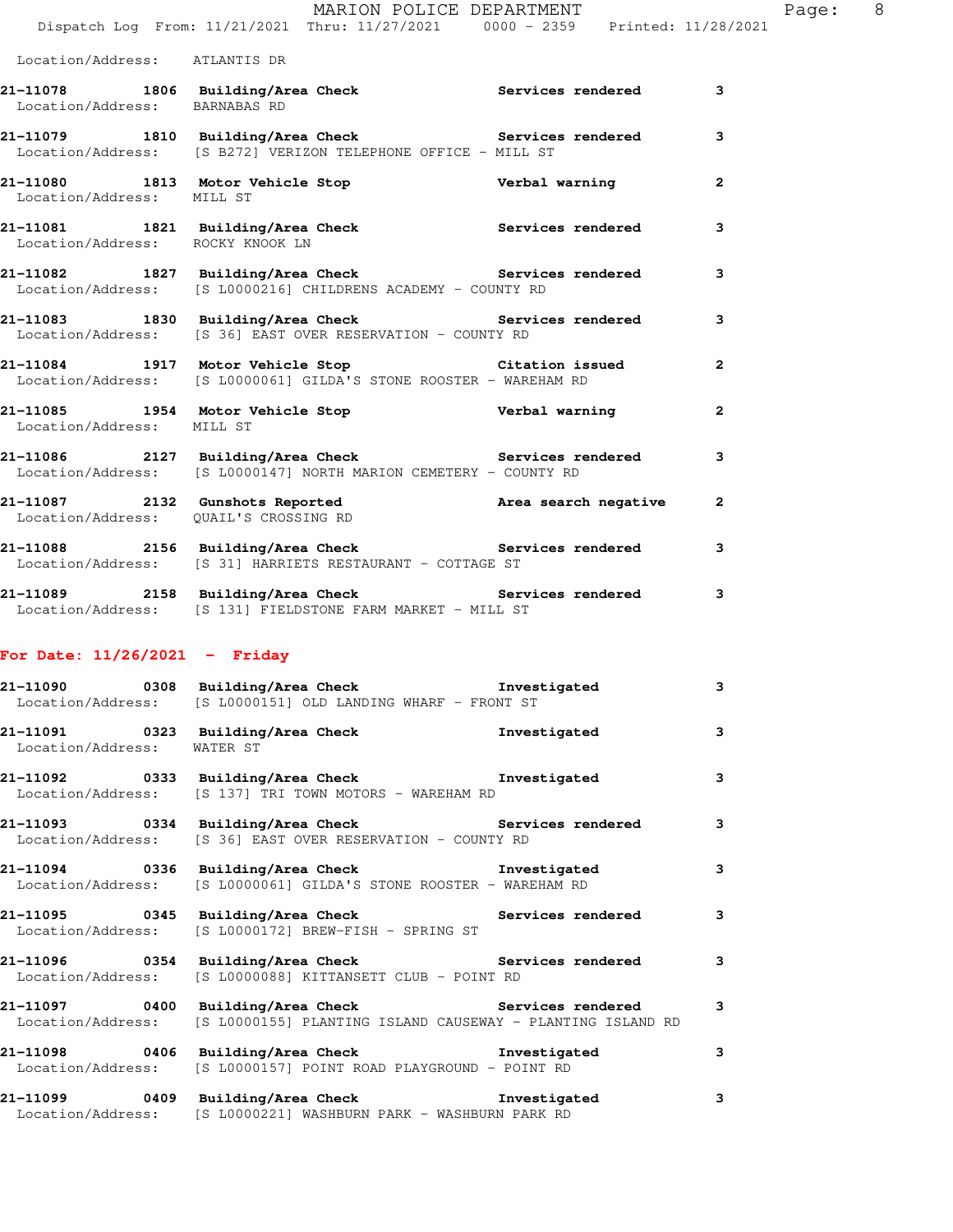| Location/Address: ATLANTIS DR    |                                                                                                                         |                |
|----------------------------------|-------------------------------------------------------------------------------------------------------------------------|----------------|
| Location/Address: BARNABAS RD    | 21-11078 1806 Building/Area Check Services rendered                                                                     | 3              |
|                                  | 21-11079 1810 Building/Area Check Services rendered<br>Location/Address: [S B272] VERIZON TELEPHONE OFFICE - MILL ST    | 3              |
| Location/Address: MILL ST        | 21-11080 1813 Motor Vehicle Stop Nerbal warning                                                                         | $\overline{2}$ |
| Location/Address: ROCKY KNOOK LN | 21-11081 1821 Building/Area Check 1997 Services rendered                                                                | 3              |
|                                  | 21-11082 1827 Building/Area Check Services rendered<br>Location/Address: [S L0000216] CHILDRENS ACADEMY - COUNTY RD     | 3              |
|                                  | 21-11083 1830 Building/Area Check Services rendered<br>Location/Address: [S 36] EAST OVER RESERVATION - COUNTY RD       | $\mathbf{3}$   |
|                                  | 21-11084 1917 Motor Vehicle Stop Citation issued<br>Location/Address: [S L0000061] GILDA'S STONE ROOSTER - WAREHAM RD   | $\overline{a}$ |
| Location/Address: MILL ST        | 21-11085 1954 Motor Vehicle Stop Nerbal warning                                                                         | $\overline{2}$ |
|                                  | 21-11086 2127 Building/Area Check Services rendered<br>Location/Address: [S L0000147] NORTH MARION CEMETERY - COUNTY RD | $\mathbf{3}$   |
|                                  | 21-11087 2132 Gunshots Reported Area search negative<br>Location/Address: QUAIL'S CROSSING RD                           | $\overline{2}$ |
|                                  | 21-11088 2156 Building/Area Check Services rendered<br>Location/Address: [S 31] HARRIETS RESTAURANT - COTTAGE ST        | 3              |
|                                  | 21-11089 2158 Building/Area Check Services rendered<br>Location/Address: [S 131] FIELDSTONE FARM MARKET - MILL ST       | 3              |

## **For Date: 11/26/2021 - Friday**

|                            | 21-11090 0308 Building/Area Check the Investigated<br>Location/Address: [S L0000151] OLD LANDING WHARF - FRONT ST                                       | $\mathbf{3}$            |
|----------------------------|---------------------------------------------------------------------------------------------------------------------------------------------------------|-------------------------|
| Location/Address: WATER ST | 21-11091 0323 Building/Area Check 1nvestigated                                                                                                          | $\mathbf{3}$            |
|                            | 21-11092 0333 Building/Area Check 1nvestigated<br>Location/Address: [S 137] TRI TOWN MOTORS - WAREHAM RD                                                | $\mathbf{3}$            |
|                            | 21-11093      0334   Building/Area Check           Services rendered<br>Location/Address: [S 36] EAST OVER RESERVATION - COUNTY RD                      | $\mathbf{3}$            |
|                            | 21-11094 0336 Building/Area Check 111094<br>Location/Address: [S L0000061] GILDA'S STONE ROOSTER - WAREHAM RD                                           | $\overline{\mathbf{3}}$ |
|                            | 21-11095      0345  Building/Area Check          Services rendered<br>Location/Address: [S L0000172] BREW-FISH - SPRING ST                              | $\mathbf{3}$            |
|                            | 21-11096 <a>&gt; 0354 Building/Area Check <a>&gt; Services rendered <a>&gt; 3<br/>Location/Address: [S L0000088] KITTANSETT CLUB - POINT RD</a></a></a> |                         |
|                            | 21-11097 		 0400 Building/Area Check 		 Services rendered 3<br>Location/Address: [S L0000155] PLANTING ISLAND CAUSEWAY - PLANTING ISLAND RD             |                         |
|                            | 21-11098 0406 Building/Area Check the Investigated<br>Location/Address: [S L0000157] POINT ROAD PLAYGROUND - POINT RD                                   | $\mathbf{3}$            |
|                            | 21-11099 0409 Building/Area Check the Investigated<br>Location/Address: [S L0000221] WASHBURN PARK - WASHBURN PARK RD                                   | $\mathbf{3}$            |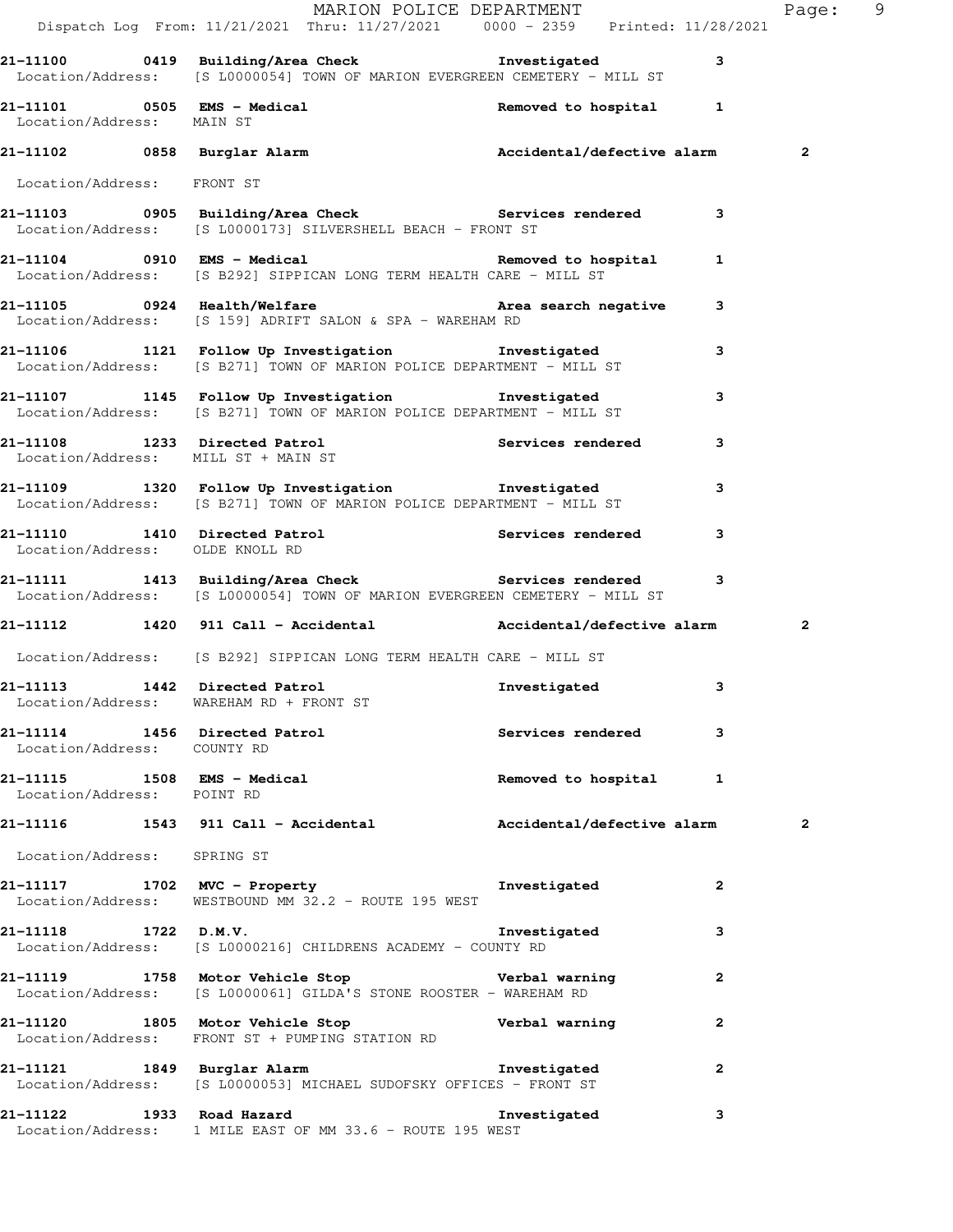|                                 | Dispatch Log From: 11/21/2021 Thru: 11/27/2021 0000 - 2359 Printed: 11/28/2021                                                                                                          | MARION POLICE DEPARTMENT |                | Page: 9                 |  |
|---------------------------------|-----------------------------------------------------------------------------------------------------------------------------------------------------------------------------------------|--------------------------|----------------|-------------------------|--|
|                                 | 21-11100 0419 Building/Area Check <b>The Investigated</b><br>Location/Address: [S L0000054] TOWN OF MARION EVERGREEN CEMETERY - MILL ST                                                 |                          | 3              |                         |  |
| Location/Address: MAIN ST       | 21-11101 0505 EMS - Medical                                                                                                                                                             | Removed to hospital 1    |                |                         |  |
|                                 | 21-11102 0858 Burglar Alarm Netter Accidental/defective alarm                                                                                                                           |                          |                | $\overline{2}$          |  |
| Location/Address: FRONT ST      |                                                                                                                                                                                         |                          |                |                         |  |
|                                 | 21-11103 0905 Building/Area Check <b>Services</b> rendered 3<br>Location/Address: [S L0000173] SILVERSHELL BEACH - FRONT ST                                                             |                          |                |                         |  |
|                                 | 21-11104 0910 EMS - Medical and the moved to hospital the move of the Medical of the Memoved to hospital the $1$<br>Location/Address: [S B292] SIPPICAN LONG TERM HEALTH CARE - MILL ST |                          |                |                         |  |
|                                 | 21-11105 0924 Health/Welfare <b>1988 and Seat Area</b> search negative<br>Location/Address: [S 159] ADRIFT SALON & SPA - WAREHAM RD                                                     |                          | 3              |                         |  |
|                                 | 21-11106 1121 Follow Up Investigation threstigated<br>Location/Address: [S B271] TOWN OF MARION POLICE DEPARTMENT - MILL ST                                                             |                          | 3              |                         |  |
|                                 | 21-11107 1145 Follow Up Investigation 1nvestigated<br>Location/Address: [S B271] TOWN OF MARION POLICE DEPARTMENT - MILL ST                                                             |                          | 3              |                         |  |
|                                 | 21-11108 1233 Directed Patrol 1997 Services rendered<br>Location/Address: MILL ST + MAIN ST                                                                                             |                          | 3              |                         |  |
|                                 | 21-11109 1320 Follow Up Investigation 1nvestigated<br>Location/Address: [S B271] TOWN OF MARION POLICE DEPARTMENT - MILL ST                                                             |                          | 3              |                         |  |
| Location/Address: OLDE KNOLL RD | 21-11110 1410 Directed Patrol 30 Services rendered                                                                                                                                      |                          | 3              |                         |  |
|                                 | 1413 Building/Area Check Services rendered 3<br>Location/Address: [S L0000054] TOWN OF MARION EVERGREEN CEMETERY - MILL ST                                                              |                          |                |                         |  |
|                                 | 21-11112 1420 911 Call - Accidental Maccidental/defective alarm                                                                                                                         |                          |                | $\overline{2}$          |  |
|                                 | Location/Address: [S B292] SIPPICAN LONG TERM HEALTH CARE - MILL ST                                                                                                                     |                          |                |                         |  |
|                                 | 21-11113 1442 Directed Patrol<br>Location/Address: WAREHAM RD + FRONT ST                                                                                                                | Investigated             | 3              |                         |  |
| Location/Address: COUNTY RD     | 21-11114 1456 Directed Patrol 1998 Services rendered                                                                                                                                    |                          | 3              |                         |  |
| Location/Address: POINT RD      |                                                                                                                                                                                         | Removed to hospital 1    |                |                         |  |
|                                 | 21-11116 1543 911 Call - Accidental Mccidental/defective alarm                                                                                                                          |                          |                | $\overline{\mathbf{2}}$ |  |
| Location/Address: SPRING ST     |                                                                                                                                                                                         |                          |                |                         |  |
|                                 | 21-11117 1702 MVC - Property <b>12.1 Example 12.1</b> Investigated<br>Location/Address: WESTBOUND MM 32.2 - ROUTE 195 WEST                                                              |                          | $\mathbf{2}$   |                         |  |
|                                 | 21–11118 1722 D.M.V.<br>Location/Address: [S L0000216] CHILDRENS ACADEMY - COUNTY RD                                                                                                    | Investigated             | 3              |                         |  |
|                                 | 21-11119 1758 Motor Vehicle Stop Nerbal warning<br>Location/Address: [S L0000061] GILDA'S STONE ROOSTER - WAREHAM RD                                                                    |                          | $\mathbf{2}$   |                         |  |
|                                 | 21-11120 1805 Motor Vehicle Stop Nerbal warning<br>Location/Address: FRONT ST + PUMPING STATION RD                                                                                      |                          | 2              |                         |  |
| 21-11121 1849 Burglar Alarm     | Location/Address: [S L0000053] MICHAEL SUDOFSKY OFFICES - FRONT ST                                                                                                                      | Investigated             | $\overline{2}$ |                         |  |
|                                 | 21-11122 1933 Road Hazard<br>Location/Address: 1 MILE EAST OF MM 33.6 - ROUTE 195 WEST                                                                                                  | Investigated             | 3              |                         |  |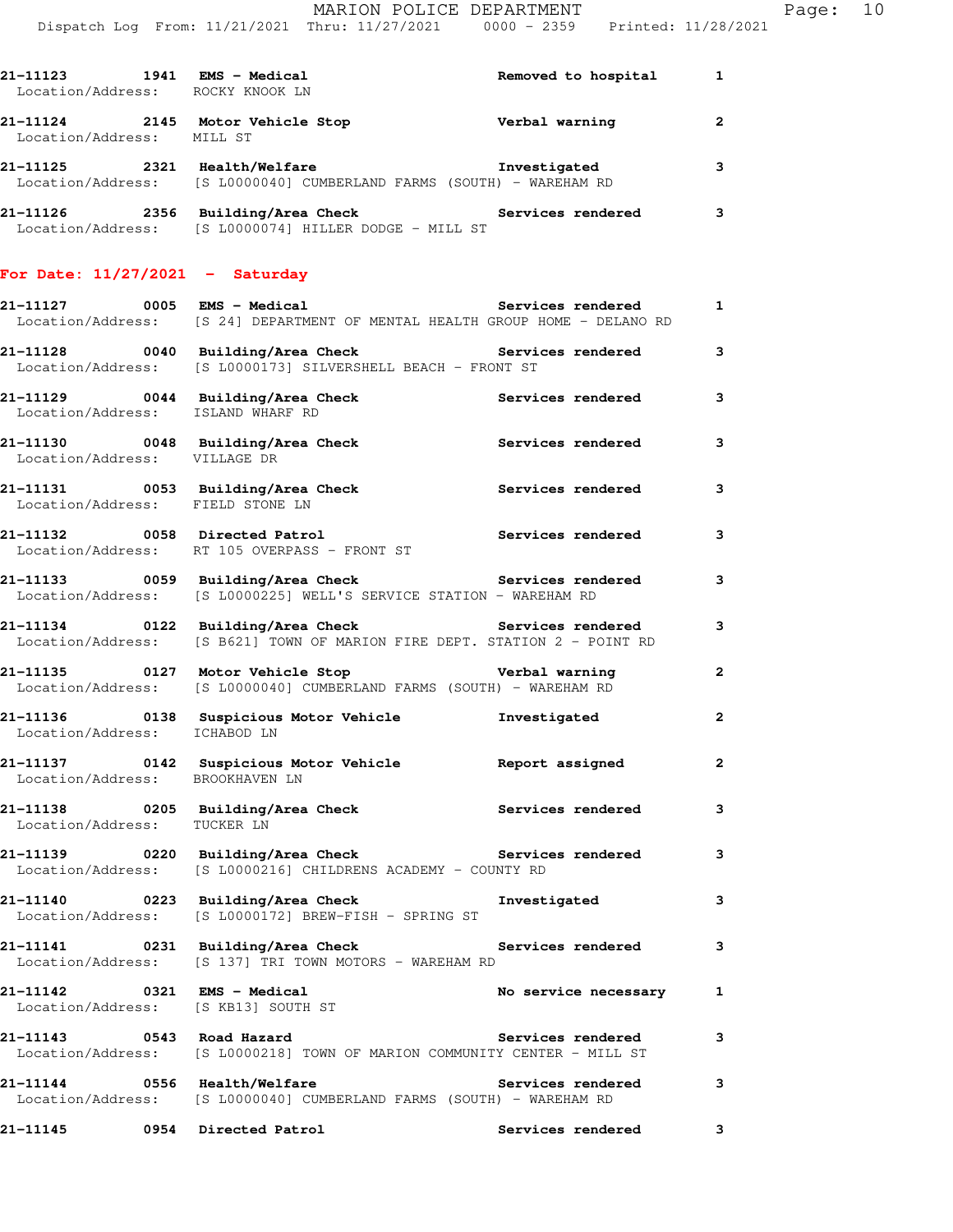|                                                                 | MARION POLICE DEPARTMENT                                                                                                         |                     |                | $P\epsilon$ |
|-----------------------------------------------------------------|----------------------------------------------------------------------------------------------------------------------------------|---------------------|----------------|-------------|
|                                                                 | Dispatch Log From: 11/21/2021 Thru: 11/27/2021 0000 - 2359 Printed: 11/28/2021                                                   |                     |                |             |
| 21-11123 1941 EMS - Medical<br>Location/Address: ROCKY KNOOK LN |                                                                                                                                  | Removed to hospital | $\mathbf{1}$   |             |
| Location/Address: MILL ST                                       |                                                                                                                                  |                     | $\overline{2}$ |             |
|                                                                 | 21-11125 2321 Health/Welfare and Investigated<br>Location/Address: [S L0000040] CUMBERLAND FARMS (SOUTH) - WAREHAM RD            |                     | 3              |             |
|                                                                 | 21-11126 2356 Building/Area Check Services rendered<br>Location/Address: [S L0000074] HILLER DODGE - MILL ST                     |                     | 3              |             |
| For Date: $11/27/2021$ - Saturday                               |                                                                                                                                  |                     |                |             |
|                                                                 | 21-11127 0005 EMS - Medical and Services rendered<br>Location/Address: [S 24] DEPARTMENT OF MENTAL HEALTH GROUP HOME - DELANO RD |                     | 1              |             |
| Location/Address:                                               | 21-11128 0040 Building/Area Check the Services rendered<br>[S L0000173] SILVERSHELL BEACH - FRONT ST                             |                     | 3              |             |

 Location/Address: ISLAND WHARF RD **21-11130 0048 Building/Area Check Services rendered 3**  Location/Address: VILLAGE DR

**21-11129 0044 Building/Area Check Services rendered 3** 

**21-11131 0053 Building/Area Check Services rendered 3**  Location/Address: FIELD STONE LN **21-11132 0058 Directed Patrol Services rendered 3** 

 Location/Address: RT 105 OVERPASS - FRONT ST **21-11133 0059 Building/Area Check Services rendered 3**  Location/Address: [S L0000225] WELL'S SERVICE STATION - WAREHAM RD

**21-11134 0122 Building/Area Check Services rendered 3**  Location/Address: [S B621] TOWN OF MARION FIRE DEPT. STATION 2 - POINT RD

**21-11135 0127 Motor Vehicle Stop Verbal warning 2**  Location/Address: [S L0000040] CUMBERLAND FARMS (SOUTH) - WAREHAM RD

**21-11136 0138 Suspicious Motor Vehicle Investigated 2**  Location/Address: ICHABOD LN **21-11137 0142 Suspicious Motor Vehicle Report assigned 2**  Location/Address: BROOKHAVEN LN

**21-11138 0205 Building/Area Check Services rendered 3**  Location/Address: TUCKER LN

**21-11139 0220 Building/Area Check Services rendered 3**  Location/Address: [S L0000216] CHILDRENS ACADEMY - COUNTY RD

**21-11140 0223 Building/Area Check Investigated 3**  Location/Address: [S L0000172] BREW-FISH - SPRING ST

**21-11141 0231 Building/Area Check Services rendered 3**  Location/Address: [S 137] TRI TOWN MOTORS - WAREHAM RD

21-11142 0321 EMS - Medical **No service necessary** 1 Location/Address: [S KB13] SOUTH ST 21-11143 **0543** Road Hazard **1988** Services rendered 3

 Location/Address: [S L0000218] TOWN OF MARION COMMUNITY CENTER - MILL ST **21-11144 0556 Health/Welfare Services rendered 3** 

Location/Address: [S L0000040] CUMBERLAND FARMS (SOUTH) - WAREHAM RD

**21-11145 0954 Directed Patrol Services rendered 3**